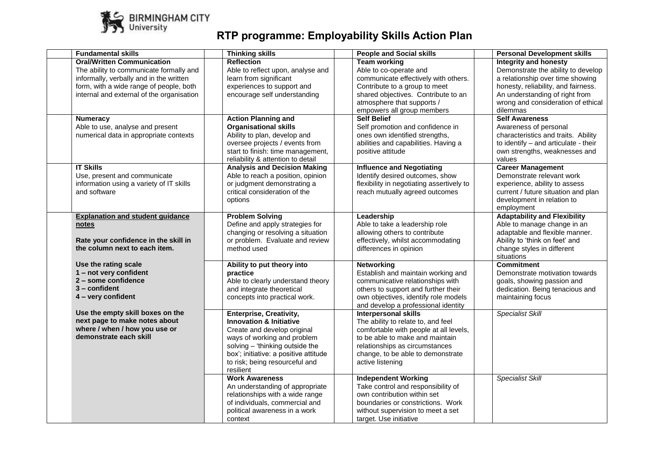

## **RTP programme: Employability Skills Action Plan**

| <b>Fundamental skills</b>                                                                                                                                                                                       | <b>Thinking skills</b>                                                                                                                                                                                                                                        | <b>People and Social skills</b>                                                                                                                                                                                                           | <b>Personal Development skills</b>                                                                                                                                                                                                |
|-----------------------------------------------------------------------------------------------------------------------------------------------------------------------------------------------------------------|---------------------------------------------------------------------------------------------------------------------------------------------------------------------------------------------------------------------------------------------------------------|-------------------------------------------------------------------------------------------------------------------------------------------------------------------------------------------------------------------------------------------|-----------------------------------------------------------------------------------------------------------------------------------------------------------------------------------------------------------------------------------|
| <b>Oral/Written Communication</b><br>The ability to communicate formally and<br>informally, verbally and in the written<br>form, with a wide range of people, both<br>internal and external of the organisation | <b>Reflection</b><br>Able to reflect upon, analyse and<br>learn from significant<br>experiences to support and<br>encourage self understanding                                                                                                                | <b>Team working</b><br>Able to co-operate and<br>communicate effectively with others.<br>Contribute to a group to meet<br>shared objectives. Contribute to an<br>atmosphere that supports /<br>empowers all group members                 | <b>Integrity and honesty</b><br>Demonstrate the ability to develop<br>a relationship over time showing<br>honesty, reliability, and fairness.<br>An understanding of right from<br>wrong and consideration of ethical<br>dilemmas |
| <b>Numeracy</b><br>Able to use, analyse and present<br>numerical data in appropriate contexts                                                                                                                   | <b>Action Planning and</b><br><b>Organisational skills</b><br>Ability to plan, develop and<br>oversee projects / events from<br>start to finish: time management,<br>reliability & attention to detail                                                        | <b>Self Belief</b><br>Self promotion and confidence in<br>ones own identified strengths,<br>abilities and capabilities. Having a<br>positive attitude                                                                                     | <b>Self Awareness</b><br>Awareness of personal<br>characteristics and traits. Ability<br>to identify - and articulate - their<br>own strengths, weaknesses and<br>values                                                          |
| <b>IT Skills</b><br>Use, present and communicate<br>information using a variety of IT skills<br>and software                                                                                                    | <b>Analysis and Decision Making</b><br>Able to reach a position, opinion<br>or judgment demonstrating a<br>critical consideration of the<br>options                                                                                                           | <b>Influence and Negotiating</b><br>Identify desired outcomes, show<br>flexibility in negotiating assertively to<br>reach mutually agreed outcomes                                                                                        | <b>Career Management</b><br>Demonstrate relevant work<br>experience, ability to assess<br>current / future situation and plan<br>development in relation to<br>employment                                                         |
| <b>Explanation and student guidance</b><br>notes<br>Rate your confidence in the skill in<br>the column next to each item.                                                                                       | <b>Problem Solving</b><br>Define and apply strategies for<br>changing or resolving a situation<br>or problem. Evaluate and review<br>method used                                                                                                              | Leadership<br>Able to take a leadership role<br>allowing others to contribute<br>effectively, whilst accommodating<br>differences in opinion                                                                                              | <b>Adaptability and Flexibility</b><br>Able to manage change in an<br>adaptable and flexible manner.<br>Ability to 'think on feet' and<br>change styles in different<br>situations                                                |
| Use the rating scale<br>1 - not very confident<br>2 - some confidence<br>$3$ – confident<br>4 - very confident                                                                                                  | Ability to put theory into<br>practice<br>Able to clearly understand theory<br>and integrate theoretical<br>concepts into practical work.                                                                                                                     | Networking<br>Establish and maintain working and<br>communicative relationships with<br>others to support and further their<br>own objectives, identify role models<br>and develop a professional identity                                | <b>Commitment</b><br>Demonstrate motivation towards<br>goals, showing passion and<br>dedication. Being tenacious and<br>maintaining focus                                                                                         |
| Use the empty skill boxes on the<br>next page to make notes about<br>where / when / how you use or<br>demonstrate each skill                                                                                    | <b>Enterprise, Creativity,</b><br><b>Innovation &amp; Initiative</b><br>Create and develop original<br>ways of working and problem<br>solving - 'thinking outside the<br>box'; initiative: a positive attitude<br>to risk; being resourceful and<br>resilient | <b>Interpersonal skills</b><br>The ability to relate to, and feel<br>comfortable with people at all levels,<br>to be able to make and maintain<br>relationships as circumstances<br>change, to be able to demonstrate<br>active listening | <b>Specialist Skill</b>                                                                                                                                                                                                           |
|                                                                                                                                                                                                                 | <b>Work Awareness</b><br>An understanding of appropriate<br>relationships with a wide range<br>of individuals, commercial and<br>political awareness in a work<br>context                                                                                     | <b>Independent Working</b><br>Take control and responsibility of<br>own contribution within set<br>boundaries or constrictions. Work<br>without supervision to meet a set<br>target. Use initiative                                       | <b>Specialist Skill</b>                                                                                                                                                                                                           |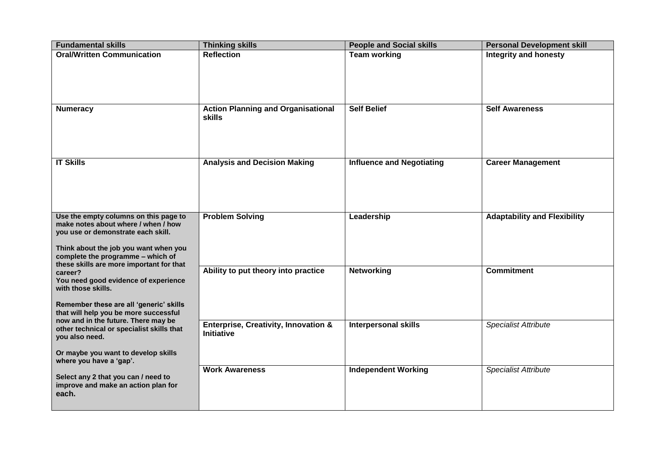| <b>Fundamental skills</b>                                                                                                                                                                                                                                                                                                                                                                                                                                                                                                                                                         | <b>Thinking skills</b>                                               | <b>People and Social skills</b>  | <b>Personal Development skill</b>   |
|-----------------------------------------------------------------------------------------------------------------------------------------------------------------------------------------------------------------------------------------------------------------------------------------------------------------------------------------------------------------------------------------------------------------------------------------------------------------------------------------------------------------------------------------------------------------------------------|----------------------------------------------------------------------|----------------------------------|-------------------------------------|
| <b>Oral/Written Communication</b>                                                                                                                                                                                                                                                                                                                                                                                                                                                                                                                                                 | <b>Reflection</b>                                                    | <b>Team working</b>              | <b>Integrity and honesty</b>        |
| <b>Numeracy</b>                                                                                                                                                                                                                                                                                                                                                                                                                                                                                                                                                                   | <b>Action Planning and Organisational</b><br>skills                  | <b>Self Belief</b>               | <b>Self Awareness</b>               |
| <b>IT Skills</b>                                                                                                                                                                                                                                                                                                                                                                                                                                                                                                                                                                  | <b>Analysis and Decision Making</b>                                  | <b>Influence and Negotiating</b> | <b>Career Management</b>            |
| Use the empty columns on this page to<br>make notes about where / when / how<br>you use or demonstrate each skill.<br>Think about the job you want when you<br>complete the programme - which of<br>these skills are more important for that<br>career?<br>You need good evidence of experience<br>with those skills.<br>Remember these are all 'generic' skills<br>that will help you be more successful<br>now and in the future. There may be<br>other technical or specialist skills that<br>you also need.<br>Or maybe you want to develop skills<br>where you have a 'gap'. | <b>Problem Solving</b>                                               | Leadership                       | <b>Adaptability and Flexibility</b> |
|                                                                                                                                                                                                                                                                                                                                                                                                                                                                                                                                                                                   | Ability to put theory into practice                                  | <b>Networking</b>                | <b>Commitment</b>                   |
|                                                                                                                                                                                                                                                                                                                                                                                                                                                                                                                                                                                   | <b>Enterprise, Creativity, Innovation &amp;</b><br><b>Initiative</b> | <b>Interpersonal skills</b>      | <b>Specialist Attribute</b>         |
| Select any 2 that you can / need to<br>improve and make an action plan for<br>each.                                                                                                                                                                                                                                                                                                                                                                                                                                                                                               | <b>Work Awareness</b>                                                | <b>Independent Working</b>       | <b>Specialist Attribute</b>         |